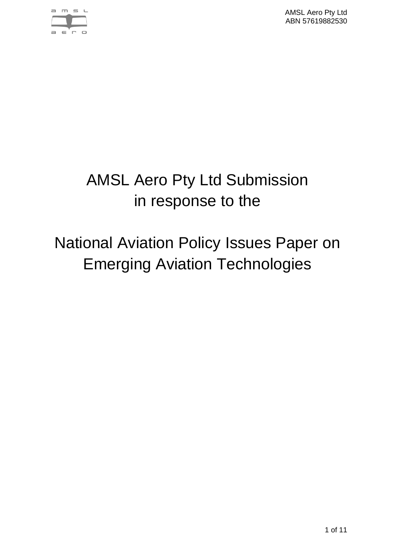

# AMSL Aero Pty Ltd Submission in response to the

# National Aviation Policy Issues Paper on Emerging Aviation Technologies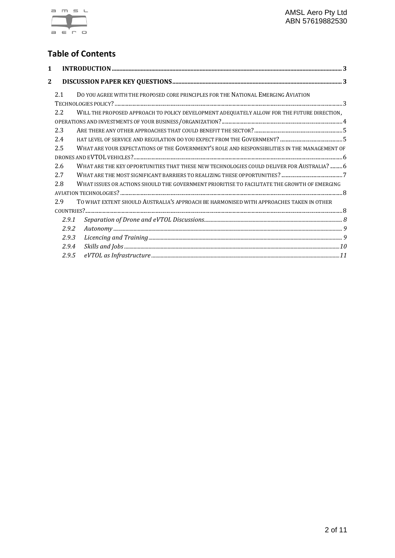

#### **Table of Contents**

| $\mathbf 1$    |       |                                                                                               |  |
|----------------|-------|-----------------------------------------------------------------------------------------------|--|
| $\overline{2}$ |       |                                                                                               |  |
|                | 2.1   | DO YOU AGREE WITH THE PROPOSED CORE PRINCIPLES FOR THE NATIONAL EMERGING AVIATION             |  |
|                |       |                                                                                               |  |
|                | 2.2   | WILL THE PROPOSED APPROACH TO POLICY DEVELOPMENT ADEQUATELY ALLOW FOR THE FUTURE DIRECTION,   |  |
|                |       |                                                                                               |  |
|                | 2.3   |                                                                                               |  |
|                | 2.4   |                                                                                               |  |
|                | 2.5   | WHAT ARE YOUR EXPECTATIONS OF THE GOVERNMENT'S ROLE AND RESPONSIBILITIES IN THE MANAGEMENT OF |  |
|                |       |                                                                                               |  |
|                | 2.6   | WHAT ARE THE KEY OPPORTUNITIES THAT THESE NEW TECHNOLOGIES COULD DELIVER FOR AUSTRALIA?  6    |  |
|                | 2.7   |                                                                                               |  |
|                | 2.8   | WHAT ISSUES OR ACTIONS SHOULD THE GOVERNMENT PRIORITISE TO FACILITATE THE GROWTH OF EMERGING  |  |
|                |       |                                                                                               |  |
|                | 2.9   | TO WHAT EXTENT SHOULD AUSTRALIA'S APPROACH BE HARMONISED WITH APPROACHES TAKEN IN OTHER       |  |
|                |       |                                                                                               |  |
|                | 2.9.1 |                                                                                               |  |
|                | 2.9.2 |                                                                                               |  |
|                | 2.9.3 |                                                                                               |  |
|                | 2.9.4 |                                                                                               |  |
|                | 2.9.5 |                                                                                               |  |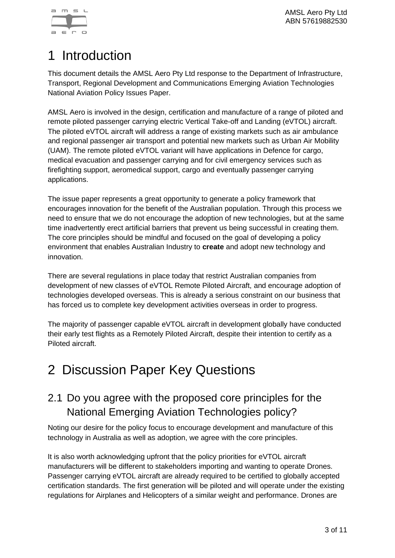

## <span id="page-2-0"></span>**Introduction**

This document details the AMSL Aero Pty Ltd response to the Department of Infrastructure, Transport, Regional Development and Communications Emerging Aviation Technologies National Aviation Policy Issues Paper.

AMSL Aero is involved in the design, certification and manufacture of a range of piloted and remote piloted passenger carrying electric Vertical Take-off and Landing (eVTOL) aircraft. The piloted eVTOL aircraft will address a range of existing markets such as air ambulance and regional passenger air transport and potential new markets such as Urban Air Mobility (UAM). The remote piloted eVTOL variant will have applications in Defence for cargo, medical evacuation and passenger carrying and for civil emergency services such as firefighting support, aeromedical support, cargo and eventually passenger carrying applications.

The issue paper represents a great opportunity to generate a policy framework that encourages innovation for the benefit of the Australian population. Through this process we need to ensure that we do not encourage the adoption of new technologies, but at the same time inadvertently erect artificial barriers that prevent us being successful in creating them. The core principles should be mindful and focused on the goal of developing a policy environment that enables Australian Industry to **create** and adopt new technology and innovation.

There are several regulations in place today that restrict Australian companies from development of new classes of eVTOL Remote Piloted Aircraft, and encourage adoption of technologies developed overseas. This is already a serious constraint on our business that has forced us to complete key development activities overseas in order to progress.

The majority of passenger capable eVTOL aircraft in development globally have conducted their early test flights as a Remotely Piloted Aircraft, despite their intention to certify as a Piloted aircraft.

## <span id="page-2-1"></span>2 Discussion Paper Key Questions

### <span id="page-2-2"></span>2.1 Do you agree with the proposed core principles for the National Emerging Aviation Technologies policy?

Noting our desire for the policy focus to encourage development and manufacture of this technology in Australia as well as adoption, we agree with the core principles.

It is also worth acknowledging upfront that the policy priorities for eVTOL aircraft manufacturers will be different to stakeholders importing and wanting to operate Drones. Passenger carrying eVTOL aircraft are already required to be certified to globally accepted certification standards. The first generation will be piloted and will operate under the existing regulations for Airplanes and Helicopters of a similar weight and performance. Drones are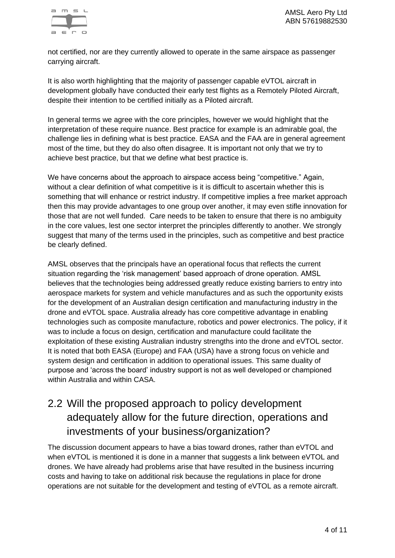

not certified, nor are they currently allowed to operate in the same airspace as passenger carrying aircraft.

It is also worth highlighting that the majority of passenger capable eVTOL aircraft in development globally have conducted their early test flights as a Remotely Piloted Aircraft, despite their intention to be certified initially as a Piloted aircraft.

In general terms we agree with the core principles, however we would highlight that the interpretation of these require nuance. Best practice for example is an admirable goal, the challenge lies in defining what is best practice. EASA and the FAA are in general agreement most of the time, but they do also often disagree. It is important not only that we try to achieve best practice, but that we define what best practice is.

We have concerns about the approach to airspace access being "competitive." Again, without a clear definition of what competitive is it is difficult to ascertain whether this is something that will enhance or restrict industry. If competitive implies a free market approach then this may provide advantages to one group over another, it may even stifle innovation for those that are not well funded. Care needs to be taken to ensure that there is no ambiguity in the core values, lest one sector interpret the principles differently to another. We strongly suggest that many of the terms used in the principles, such as competitive and best practice be clearly defined.

AMSL observes that the principals have an operational focus that reflects the current situation regarding the 'risk management' based approach of drone operation. AMSL believes that the technologies being addressed greatly reduce existing barriers to entry into aerospace markets for system and vehicle manufactures and as such the opportunity exists for the development of an Australian design certification and manufacturing industry in the drone and eVTOL space. Australia already has core competitive advantage in enabling technologies such as composite manufacture, robotics and power electronics. The policy, if it was to include a focus on design, certification and manufacture could facilitate the exploitation of these existing Australian industry strengths into the drone and eVTOL sector. It is noted that both EASA (Europe) and FAA (USA) have a strong focus on vehicle and system design and certification in addition to operational issues. This same duality of purpose and 'across the board' industry support is not as well developed or championed within Australia and within CASA.

## <span id="page-3-0"></span>2.2 Will the proposed approach to policy development adequately allow for the future direction, operations and investments of your business/organization?

The discussion document appears to have a bias toward drones, rather than eVTOL and when eVTOL is mentioned it is done in a manner that suggests a link between eVTOL and drones. We have already had problems arise that have resulted in the business incurring costs and having to take on additional risk because the regulations in place for drone operations are not suitable for the development and testing of eVTOL as a remote aircraft.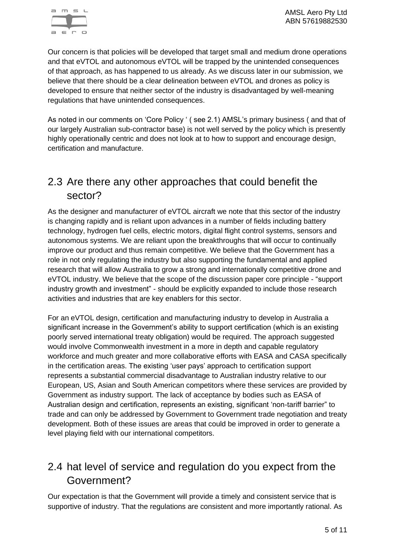Our concern is that policies will be developed that target small and medium drone operations and that eVTOL and autonomous eVTOL will be trapped by the unintended consequences of that approach, as has happened to us already. As we discuss later in our submission, we believe that there should be a clear delineation between eVTOL and drones as policy is developed to ensure that neither sector of the industry is disadvantaged by well-meaning regulations that have unintended consequences.

As noted in our comments on 'Core Policy ' ( see 2.1) AMSL's primary business ( and that of our largely Australian sub-contractor base) is not well served by the policy which is presently highly operationally centric and does not look at to how to support and encourage design, certification and manufacture.

#### <span id="page-4-0"></span>2.3 Are there any other approaches that could benefit the sector?

As the designer and manufacturer of eVTOL aircraft we note that this sector of the industry is changing rapidly and is reliant upon advances in a number of fields including battery technology, hydrogen fuel cells, electric motors, digital flight control systems, sensors and autonomous systems. We are reliant upon the breakthroughs that will occur to continually improve our product and thus remain competitive. We believe that the Government has a role in not only regulating the industry but also supporting the fundamental and applied research that will allow Australia to grow a strong and internationally competitive drone and eVTOL industry. We believe that the scope of the discussion paper core principle - "support industry growth and investment" - should be explicitly expanded to include those research activities and industries that are key enablers for this sector.

For an eVTOL design, certification and manufacturing industry to develop in Australia a significant increase in the Government's ability to support certification (which is an existing poorly served international treaty obligation) would be required. The approach suggested would involve Commonwealth investment in a more in depth and capable regulatory workforce and much greater and more collaborative efforts with EASA and CASA specifically in the certification areas. The existing 'user pays' approach to certification support represents a substantial commercial disadvantage to Australian industry relative to our European, US, Asian and South American competitors where these services are provided by Government as industry support. The lack of acceptance by bodies such as EASA of Australian design and certification, represents an existing, significant 'non-tariff barrier" to trade and can only be addressed by Government to Government trade negotiation and treaty development. Both of these issues are areas that could be improved in order to generate a level playing field with our international competitors.

#### <span id="page-4-1"></span>2.4 hat level of service and regulation do you expect from the Government?

Our expectation is that the Government will provide a timely and consistent service that is supportive of industry. That the regulations are consistent and more importantly rational. As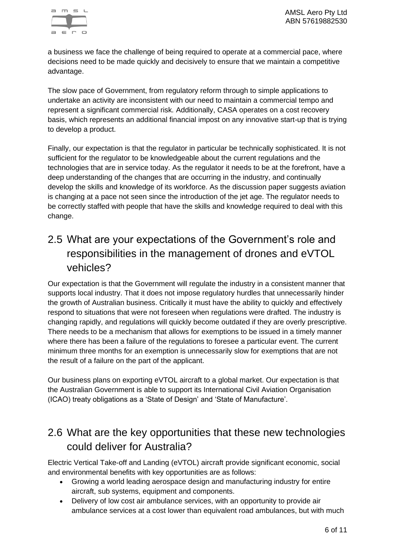

a business we face the challenge of being required to operate at a commercial pace, where decisions need to be made quickly and decisively to ensure that we maintain a competitive advantage.

The slow pace of Government, from regulatory reform through to simple applications to undertake an activity are inconsistent with our need to maintain a commercial tempo and represent a significant commercial risk. Additionally, CASA operates on a cost recovery basis, which represents an additional financial impost on any innovative start-up that is trying to develop a product.

Finally, our expectation is that the regulator in particular be technically sophisticated. It is not sufficient for the regulator to be knowledgeable about the current regulations and the technologies that are in service today. As the regulator it needs to be at the forefront, have a deep understanding of the changes that are occurring in the industry, and continually develop the skills and knowledge of its workforce. As the discussion paper suggests aviation is changing at a pace not seen since the introduction of the jet age. The regulator needs to be correctly staffed with people that have the skills and knowledge required to deal with this change.

### <span id="page-5-0"></span>2.5 What are your expectations of the Government's role and responsibilities in the management of drones and eVTOL vehicles?

Our expectation is that the Government will regulate the industry in a consistent manner that supports local industry. That it does not impose regulatory hurdles that unnecessarily hinder the growth of Australian business. Critically it must have the ability to quickly and effectively respond to situations that were not foreseen when regulations were drafted. The industry is changing rapidly, and regulations will quickly become outdated if they are overly prescriptive. There needs to be a mechanism that allows for exemptions to be issued in a timely manner where there has been a failure of the regulations to foresee a particular event. The current minimum three months for an exemption is unnecessarily slow for exemptions that are not the result of a failure on the part of the applicant.

Our business plans on exporting eVTOL aircraft to a global market. Our expectation is that the Australian Government is able to support its International Civil Aviation Organisation (ICAO) treaty obligations as a 'State of Design' and 'State of Manufacture'.

#### <span id="page-5-1"></span>2.6 What are the key opportunities that these new technologies could deliver for Australia?

Electric Vertical Take-off and Landing (eVTOL) aircraft provide significant economic, social and environmental benefits with key opportunities are as follows:

- Growing a world leading aerospace design and manufacturing industry for entire aircraft, sub systems, equipment and components.
- Delivery of low cost air ambulance services, with an opportunity to provide air ambulance services at a cost lower than equivalent road ambulances, but with much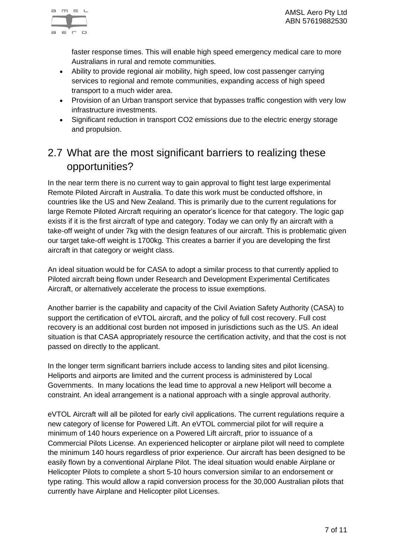faster response times. This will enable high speed emergency medical care to more Australians in rural and remote communities.

- Ability to provide regional air mobility, high speed, low cost passenger carrying services to regional and remote communities, expanding access of high speed transport to a much wider area.
- Provision of an Urban transport service that bypasses traffic congestion with very low infrastructure investments.
- Significant reduction in transport CO2 emissions due to the electric energy storage and propulsion.

## <span id="page-6-0"></span>2.7 What are the most significant barriers to realizing these opportunities?

In the near term there is no current way to gain approval to flight test large experimental Remote Piloted Aircraft in Australia. To date this work must be conducted offshore, in countries like the US and New Zealand. This is primarily due to the current regulations for large Remote Piloted Aircraft requiring an operator's licence for that category. The logic gap exists if it is the first aircraft of type and category. Today we can only fly an aircraft with a take-off weight of under 7kg with the design features of our aircraft. This is problematic given our target take-off weight is 1700kg. This creates a barrier if you are developing the first aircraft in that category or weight class.

An ideal situation would be for CASA to adopt a similar process to that currently applied to Piloted aircraft being flown under Research and Development Experimental Certificates Aircraft, or alternatively accelerate the process to issue exemptions.

Another barrier is the capability and capacity of the Civil Aviation Safety Authority (CASA) to support the certification of eVTOL aircraft, and the policy of full cost recovery. Full cost recovery is an additional cost burden not imposed in jurisdictions such as the US. An ideal situation is that CASA appropriately resource the certification activity, and that the cost is not passed on directly to the applicant.

In the longer term significant barriers include access to landing sites and pilot licensing. Heliports and airports are limited and the current process is administered by Local Governments. In many locations the lead time to approval a new Heliport will become a constraint. An ideal arrangement is a national approach with a single approval authority.

eVTOL Aircraft will all be piloted for early civil applications. The current regulations require a new category of license for Powered Lift. An eVTOL commercial pilot for will require a minimum of 140 hours experience on a Powered Lift aircraft, prior to issuance of a Commercial Pilots License. An experienced helicopter or airplane pilot will need to complete the minimum 140 hours regardless of prior experience. Our aircraft has been designed to be easily flown by a conventional Airplane Pilot. The ideal situation would enable Airplane or Helicopter Pilots to complete a short 5-10 hours conversion similar to an endorsement or type rating. This would allow a rapid conversion process for the 30,000 Australian pilots that currently have Airplane and Helicopter pilot Licenses.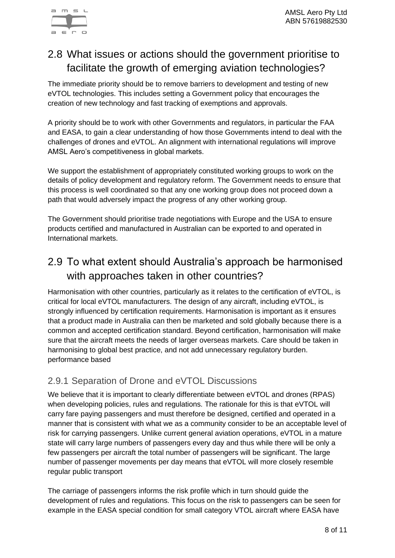

#### <span id="page-7-0"></span>2.8 What issues or actions should the government prioritise to facilitate the growth of emerging aviation technologies?

The immediate priority should be to remove barriers to development and testing of new eVTOL technologies. This includes setting a Government policy that encourages the creation of new technology and fast tracking of exemptions and approvals.

A priority should be to work with other Governments and regulators, in particular the FAA and EASA, to gain a clear understanding of how those Governments intend to deal with the challenges of drones and eVTOL. An alignment with international regulations will improve AMSL Aero's competitiveness in global markets.

We support the establishment of appropriately constituted working groups to work on the details of policy development and regulatory reform. The Government needs to ensure that this process is well coordinated so that any one working group does not proceed down a path that would adversely impact the progress of any other working group.

The Government should prioritise trade negotiations with Europe and the USA to ensure products certified and manufactured in Australian can be exported to and operated in International markets.

## <span id="page-7-1"></span>2.9 To what extent should Australia's approach be harmonised with approaches taken in other countries?

Harmonisation with other countries, particularly as it relates to the certification of eVTOL, is critical for local eVTOL manufacturers. The design of any aircraft, including eVTOL, is strongly influenced by certification requirements. Harmonisation is important as it ensures that a product made in Australia can then be marketed and sold globally because there is a common and accepted certification standard. Beyond certification, harmonisation will make sure that the aircraft meets the needs of larger overseas markets. Care should be taken in harmonising to global best practice, and not add unnecessary regulatory burden. performance based

#### <span id="page-7-2"></span>2.9.1 Separation of Drone and eVTOL Discussions

We believe that it is important to clearly differentiate between eVTOL and drones (RPAS) when developing policies, rules and regulations. The rationale for this is that eVTOL will carry fare paying passengers and must therefore be designed, certified and operated in a manner that is consistent with what we as a community consider to be an acceptable level of risk for carrying passengers. Unlike current general aviation operations, eVTOL in a mature state will carry large numbers of passengers every day and thus while there will be only a few passengers per aircraft the total number of passengers will be significant. The large number of passenger movements per day means that eVTOL will more closely resemble regular public transport

The carriage of passengers informs the risk profile which in turn should guide the development of rules and regulations. This focus on the risk to passengers can be seen for example in the EASA special condition for small category VTOL aircraft where EASA have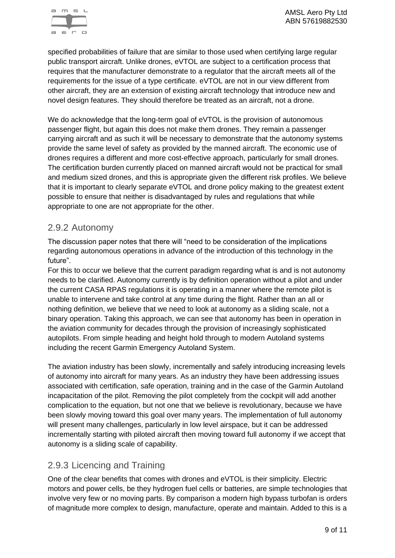

specified probabilities of failure that are similar to those used when certifying large regular public transport aircraft. Unlike drones, eVTOL are subject to a certification process that requires that the manufacturer demonstrate to a regulator that the aircraft meets all of the requirements for the issue of a type certificate. eVTOL are not in our view different from other aircraft, they are an extension of existing aircraft technology that introduce new and novel design features. They should therefore be treated as an aircraft, not a drone.

We do acknowledge that the long-term goal of eVTOL is the provision of autonomous passenger flight, but again this does not make them drones. They remain a passenger carrying aircraft and as such it will be necessary to demonstrate that the autonomy systems provide the same level of safety as provided by the manned aircraft. The economic use of drones requires a different and more cost-effective approach, particularly for small drones. The certification burden currently placed on manned aircraft would not be practical for small and medium sized drones, and this is appropriate given the different risk profiles. We believe that it is important to clearly separate eVTOL and drone policy making to the greatest extent possible to ensure that neither is disadvantaged by rules and regulations that while appropriate to one are not appropriate for the other.

#### <span id="page-8-0"></span>2.9.2 Autonomy

The discussion paper notes that there will "need to be consideration of the implications regarding autonomous operations in advance of the introduction of this technology in the future".

For this to occur we believe that the current paradigm regarding what is and is not autonomy needs to be clarified. Autonomy currently is by definition operation without a pilot and under the current CASA RPAS regulations it is operating in a manner where the remote pilot is unable to intervene and take control at any time during the flight. Rather than an all or nothing definition, we believe that we need to look at autonomy as a sliding scale, not a binary operation. Taking this approach, we can see that autonomy has been in operation in the aviation community for decades through the provision of increasingly sophisticated autopilots. From simple heading and height hold through to modern Autoland systems including the recent Garmin Emergency Autoland System.

The aviation industry has been slowly, incrementally and safely introducing increasing levels of autonomy into aircraft for many years. As an industry they have been addressing issues associated with certification, safe operation, training and in the case of the Garmin Autoland incapacitation of the pilot. Removing the pilot completely from the cockpit will add another complication to the equation, but not one that we believe is revolutionary, because we have been slowly moving toward this goal over many years. The implementation of full autonomy will present many challenges, particularly in low level airspace, but it can be addressed incrementally starting with piloted aircraft then moving toward full autonomy if we accept that autonomy is a sliding scale of capability.

#### <span id="page-8-1"></span>2.9.3 Licencing and Training

One of the clear benefits that comes with drones and eVTOL is their simplicity. Electric motors and power cells, be they hydrogen fuel cells or batteries, are simple technologies that involve very few or no moving parts. By comparison a modern high bypass turbofan is orders of magnitude more complex to design, manufacture, operate and maintain. Added to this is a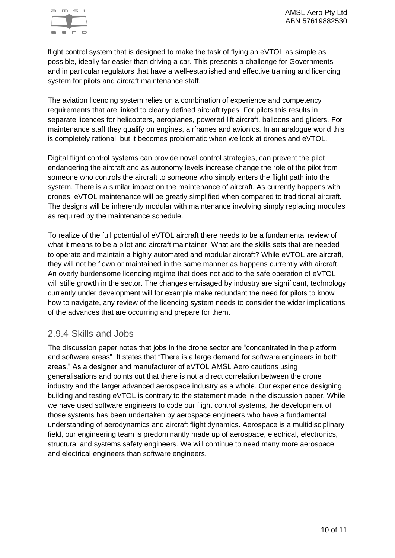

flight control system that is designed to make the task of flying an eVTOL as simple as possible, ideally far easier than driving a car. This presents a challenge for Governments and in particular regulators that have a well-established and effective training and licencing system for pilots and aircraft maintenance staff.

The aviation licencing system relies on a combination of experience and competency requirements that are linked to clearly defined aircraft types. For pilots this results in separate licences for helicopters, aeroplanes, powered lift aircraft, balloons and gliders. For maintenance staff they qualify on engines, airframes and avionics. In an analogue world this is completely rational, but it becomes problematic when we look at drones and eVTOL.

Digital flight control systems can provide novel control strategies, can prevent the pilot endangering the aircraft and as autonomy levels increase change the role of the pilot from someone who controls the aircraft to someone who simply enters the flight path into the system. There is a similar impact on the maintenance of aircraft. As currently happens with drones, eVTOL maintenance will be greatly simplified when compared to traditional aircraft. The designs will be inherently modular with maintenance involving simply replacing modules as required by the maintenance schedule.

To realize of the full potential of eVTOL aircraft there needs to be a fundamental review of what it means to be a pilot and aircraft maintainer. What are the skills sets that are needed to operate and maintain a highly automated and modular aircraft? While eVTOL are aircraft, they will not be flown or maintained in the same manner as happens currently with aircraft. An overly burdensome licencing regime that does not add to the safe operation of eVTOL will stifle growth in the sector. The changes envisaged by industry are significant, technology currently under development will for example make redundant the need for pilots to know how to navigate, any review of the licencing system needs to consider the wider implications of the advances that are occurring and prepare for them.

#### <span id="page-9-0"></span>2.9.4 Skills and Jobs

The discussion paper notes that jobs in the drone sector are "concentrated in the platform and software areas". It states that "There is a large demand for software engineers in both areas." As a designer and manufacturer of eVTOL AMSL Aero cautions using generalisations and points out that there is not a direct correlation between the drone industry and the larger advanced aerospace industry as a whole. Our experience designing, building and testing eVTOL is contrary to the statement made in the discussion paper. While we have used software engineers to code our flight control systems, the development of those systems has been undertaken by aerospace engineers who have a fundamental understanding of aerodynamics and aircraft flight dynamics. Aerospace is a multidisciplinary field, our engineering team is predominantly made up of aerospace, electrical, electronics, structural and systems safety engineers. We will continue to need many more aerospace and electrical engineers than software engineers.